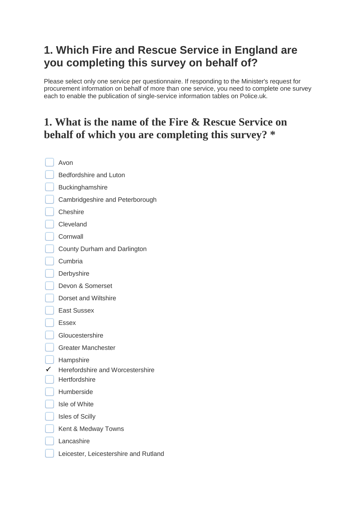# **1. Which Fire and Rescue Service in England are you completing this survey on behalf of?**

Please select only one service per questionnaire. If responding to the Minister's request for procurement information on behalf of more than one service, you need to complete one survey each to enable the publication of single-service information tables on Police.uk.

# **1. What is the name of the Fire & Rescue Service on behalf of which you are completing this survey? \***

| Avon                                              |
|---------------------------------------------------|
| Bedfordshire and Luton                            |
| Buckinghamshire                                   |
| Cambridgeshire and Peterborough                   |
| Cheshire                                          |
| Cleveland                                         |
| Cornwall                                          |
| County Durham and Darlington                      |
| Cumbria                                           |
| Derbyshire                                        |
| Devon & Somerset                                  |
| Dorset and Wiltshire                              |
| <b>East Sussex</b>                                |
| Essex                                             |
| Gloucestershire                                   |
| Greater Manchester                                |
| Hampshire                                         |
| Herefordshire and Worcestershire<br>Hertfordshire |
| Humberside                                        |
| Isle of White                                     |
|                                                   |
| <b>Isles of Scilly</b>                            |
| Kent & Medway Towns                               |
| Lancashire                                        |
| Leicester, Leicestershire and Rutland             |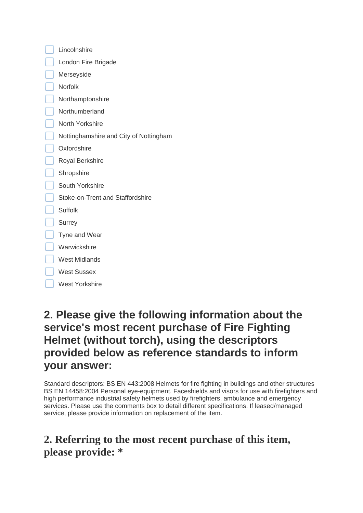| Lincolnshire                           |  |
|----------------------------------------|--|
| London Fire Brigade                    |  |
| Merseyside                             |  |
| Norfolk                                |  |
| Northamptonshire                       |  |
| Northumberland                         |  |
| North Yorkshire                        |  |
| Nottinghamshire and City of Nottingham |  |
| Oxfordshire                            |  |
| <b>Royal Berkshire</b>                 |  |
| Shropshire                             |  |
| South Yorkshire                        |  |
| Stoke-on-Trent and Staffordshire       |  |
| <b>Suffolk</b>                         |  |
| <b>Surrey</b>                          |  |
| Tyne and Wear                          |  |
| Warwickshire                           |  |
| <b>West Midlands</b>                   |  |
| <b>West Sussex</b>                     |  |
| <b>West Yorkshire</b>                  |  |
|                                        |  |

# **2. Please give the following information about the service's most recent purchase of Fire Fighting Helmet (without torch), using the descriptors provided below as reference standards to inform your answer:**

Standard descriptors: BS EN 443:2008 Helmets for fire fighting in buildings and other structures BS EN 14458:2004 Personal eye-equipment. Faceshields and visors for use with firefighters and high performance industrial safety helmets used by firefighters, ambulance and emergency services. Please use the comments box to detail different specifications. If leased/managed service, please provide information on replacement of the item.

# **2. Referring to the most recent purchase of this item, please provide: \***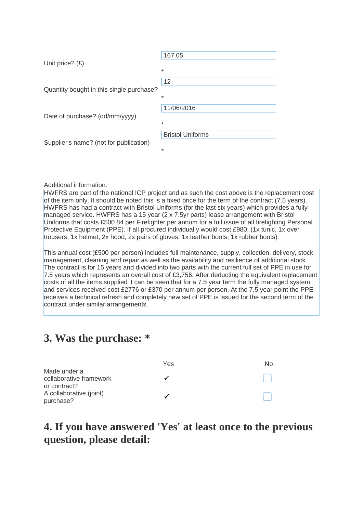|                                          | 167.05                  |
|------------------------------------------|-------------------------|
| Unit price? $(E)$                        | $\ast$                  |
|                                          | 12                      |
| Quantity bought in this single purchase? |                         |
|                                          | $\ast$                  |
| Date of purchase? (dd/mm/yyyy)           | 11/06/2016              |
|                                          | $\ast$                  |
|                                          | <b>Bristol Uniforms</b> |
| Supplier's name? (not for publication)   | *                       |

#### Additional information:

HWFRS are part of the national ICP project and as such the cost above is the replacement cost of the item only. It should be noted this is a fixed price for the term of the contract (7.5 years). HWFRS has had a contract with Bristol Uniforms (for the last six years) which provides a fully managed service. HWFRS has a 15 year (2 x 7.5yr parts) lease arrangement with Bristol Uniforms that costs £500.84 per Firefighter per annum for a full issue of all firefighting Personal Protective Equipment (PPE). If all procured individually would cost £980, (1x tunic, 1x over trousers, 1x helmet, 2x hood, 2x pairs of gloves, 1x leather boots, 1x rubber boots)

This annual cost (£500 per person) includes full maintenance, supply, collection, delivery, stock management, cleaning and repair as well as the availability and resilience of additional stock. The contract is for 15 years and divided into two parts with the current full set of PPE in use for 7.5 years which represents an overall cost of £3,756. After deducting the equivalent replacement costs of all the items supplied it can be seen that for a 7.5 year term the fully managed system and services received cost £2776 or £370 per annum per person. At the 7.5 year point the PPE receives a technical refresh and completely new set of PPE is issued for the second term of the contract under similar arrangements.

#### **3. Was the purchase: \***

|                                                         | Yes | No. |
|---------------------------------------------------------|-----|-----|
| Made under a<br>collaborative framework<br>or contract? |     |     |
| A collaborative (joint)<br>purchase?                    |     |     |

#### **4. If you have answered 'Yes' at least once to the previous question, please detail:**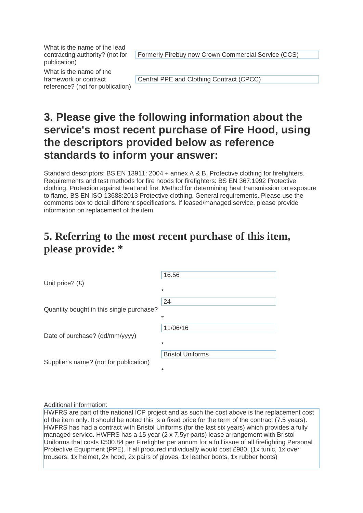What is the name of the lead contracting authority? (not for publication)

Formerly Firebuy now Crown Commercial Service (CCS)

What is the name of the framework or contract reference? (not for publication)

Central PPE and Clothing Contract (CPCC)

# **3. Please give the following information about the service's most recent purchase of Fire Hood, using the descriptors provided below as reference standards to inform your answer:**

Standard descriptors: BS EN 13911: 2004 + annex A & B, Protective clothing for firefighters. Requirements and test methods for fire hoods for firefighters: BS EN 367:1992 Protective clothing. Protection against heat and fire. Method for determining heat transmission on exposure to flame. BS EN ISO 13688:2013 Protective clothing. General requirements. Please use the comments box to detail different specifications. If leased/managed service, please provide information on replacement of the item.

#### **5. Referring to the most recent purchase of this item, please provide: \***

| Unit price? $(E)$                        | 16.56                        |
|------------------------------------------|------------------------------|
|                                          | $\ast$                       |
| Quantity bought in this single purchase? | 24<br>$\ast$                 |
| Date of purchase? (dd/mm/yyyy)           | 11/06/16<br>*                |
| Supplier's name? (not for publication)   | <b>Bristol Uniforms</b><br>* |

Additional information:

HWFRS are part of the national ICP project and as such the cost above is the replacement cost of the item only. It should be noted this is a fixed price for the term of the contract (7.5 years). HWFRS has had a contract with Bristol Uniforms (for the last six years) which provides a fully managed service. HWFRS has a 15 year (2 x 7.5yr parts) lease arrangement with Bristol Uniforms that costs £500.84 per Firefighter per annum for a full issue of all firefighting Personal Protective Equipment (PPE). If all procured individually would cost £980, (1x tunic, 1x over trousers, 1x helmet, 2x hood, 2x pairs of gloves, 1x leather boots, 1x rubber boots)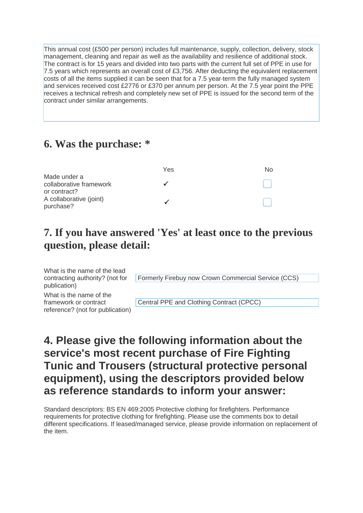This annual cost (£500 per person) includes full maintenance, supply, collection, delivery, stock management, cleaning and repair as well as the availability and resilience of additional stock. The contract is for 15 years and divided into two parts with the current full set of PPE in use for 7.5 years which represents an overall cost of £3,756. After deducting the equivalent replacement costs of all the items supplied it can be seen that for a 7.5 year term the fully managed system and services received cost £2776 or £370 per annum per person. At the 7.5 year point the PPE receives a technical refresh and completely new set of PPE is issued for the second term of the contract under similar arrangements.

#### **6. Was the purchase: \***

|                         | Yes | Nο |
|-------------------------|-----|----|
| Made under a            |     |    |
| collaborative framework |     |    |
| or contract?            |     |    |
| A collaborative (joint) |     |    |
| purchase?               |     |    |

### **7. If you have answered 'Yes' at least once to the previous question, please detail:**

What is the name of the lead contracting authority? (not for publication)

What is the name of the framework or contract reference? (not for publication)

Formerly Firebuy now Crown Commercial Service (CCS)

Central PPE and Clothing Contract (CPCC)

# **4. Please give the following information about the service's most recent purchase of Fire Fighting Tunic and Trousers (structural protective personal equipment), using the descriptors provided below as reference standards to inform your answer:**

Standard descriptors: BS EN 469:2005 Protective clothing for firefighters. Performance requirements for protective clothing for firefighting. Please use the comments box to detail different specifications. If leased/managed service, please provide information on replacement of the item.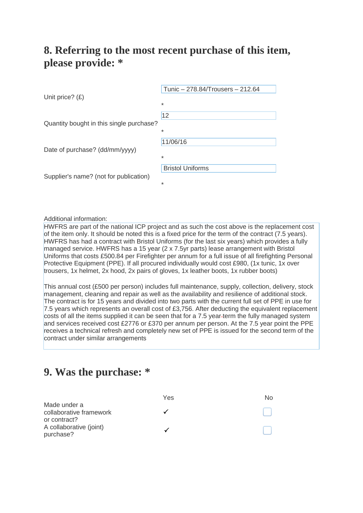#### **8. Referring to the most recent purchase of this item, please provide: \***

| Unit price? $(E)$                        | Tunic - 278.84/Trousers - 212.64<br>$\ast$ |
|------------------------------------------|--------------------------------------------|
| Quantity bought in this single purchase? | 12<br>$\ast$                               |
| Date of purchase? (dd/mm/yyyy)           | 11/06/16<br>$\ast$                         |
| Supplier's name? (not for publication)   | <b>Bristol Uniforms</b><br>$\ast$          |

Additional information:

HWFRS are part of the national ICP project and as such the cost above is the replacement cost of the item only. It should be noted this is a fixed price for the term of the contract (7.5 years). HWFRS has had a contract with Bristol Uniforms (for the last six years) which provides a fully managed service. HWFRS has a 15 year (2 x 7.5yr parts) lease arrangement with Bristol Uniforms that costs £500.84 per Firefighter per annum for a full issue of all firefighting Personal Protective Equipment (PPE). If all procured individually would cost £980, (1x tunic, 1x over trousers, 1x helmet, 2x hood, 2x pairs of gloves, 1x leather boots, 1x rubber boots)

This annual cost (£500 per person) includes full maintenance, supply, collection, delivery, stock management, cleaning and repair as well as the availability and resilience of additional stock. The contract is for 15 years and divided into two parts with the current full set of PPE in use for 7.5 years which represents an overall cost of £3,756. After deducting the equivalent replacement costs of all the items supplied it can be seen that for a 7.5 year term the fully managed system and services received cost £2776 or £370 per annum per person. At the 7.5 year point the PPE receives a technical refresh and completely new set of PPE is issued for the second term of the contract under similar arrangements

#### **9. Was the purchase: \***

|                                                         | Yes | N <sub>O</sub> |
|---------------------------------------------------------|-----|----------------|
| Made under a<br>collaborative framework<br>or contract? |     |                |
| A collaborative (joint)<br>purchase?                    |     |                |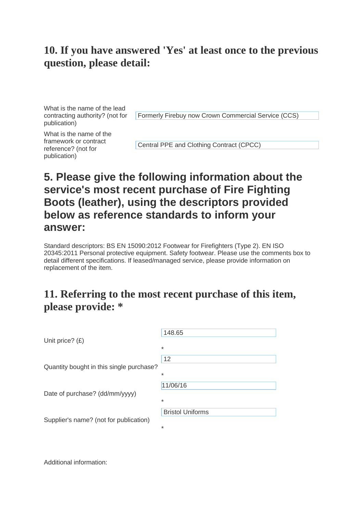What is the name of the lead contracting authority? (not for publication)

Formerly Firebuy now Crown Commercial Service (CCS)

What is the name of the framework or contract reference? (not for publication)

Central PPE and Clothing Contract (CPCC)

## **5. Please give the following information about the service's most recent purchase of Fire Fighting Boots (leather), using the descriptors provided below as reference standards to inform your answer:**

Standard descriptors: BS EN 15090:2012 Footwear for Firefighters (Type 2). EN ISO 20345:2011 Personal protective equipment. Safety footwear. Please use the comments box to detail different specifications. If leased/managed service, please provide information on replacement of the item.

#### **11. Referring to the most recent purchase of this item, please provide: \***

| 148.65                  |
|-------------------------|
| $\star$                 |
| 12                      |
| $\ast$                  |
| 11/06/16                |
| $\star$                 |
| <b>Bristol Uniforms</b> |
| $\ast$                  |
|                         |

Additional information: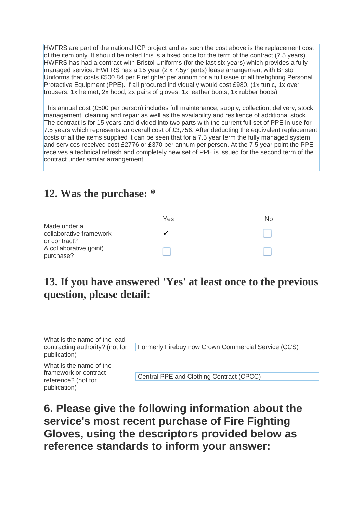HWFRS are part of the national ICP project and as such the cost above is the replacement cost of the item only. It should be noted this is a fixed price for the term of the contract (7.5 years). HWFRS has had a contract with Bristol Uniforms (for the last six years) which provides a fully managed service. HWFRS has a 15 year (2 x 7.5yr parts) lease arrangement with Bristol Uniforms that costs £500.84 per Firefighter per annum for a full issue of all firefighting Personal Protective Equipment (PPE). If all procured individually would cost £980, (1x tunic, 1x over trousers, 1x helmet, 2x hood, 2x pairs of gloves, 1x leather boots, 1x rubber boots)

This annual cost (£500 per person) includes full maintenance, supply, collection, delivery, stock management, cleaning and repair as well as the availability and resilience of additional stock. The contract is for 15 years and divided into two parts with the current full set of PPE in use for 7.5 years which represents an overall cost of £3,756. After deducting the equivalent replacement costs of all the items supplied it can be seen that for a 7.5 year term the fully managed system and services received cost £2776 or £370 per annum per person. At the 7.5 year point the PPE receives a technical refresh and completely new set of PPE is issued for the second term of the contract under similar arrangement

#### **12. Was the purchase: \***

|                                                         | Yes | Nο |
|---------------------------------------------------------|-----|----|
| Made under a<br>collaborative framework<br>or contract? |     |    |
| A collaborative (joint)<br>purchase?                    |     |    |

#### **13. If you have answered 'Yes' at least once to the previous question, please detail:**

What is the name of the lead contracting authority? (not for publication) Formerly Firebuy now Crown Commercial Service (CCS) What is the name of the

framework or contract reference? (not for publication)

Central PPE and Clothing Contract (CPCC)

**6. Please give the following information about the service's most recent purchase of Fire Fighting Gloves, using the descriptors provided below as reference standards to inform your answer:**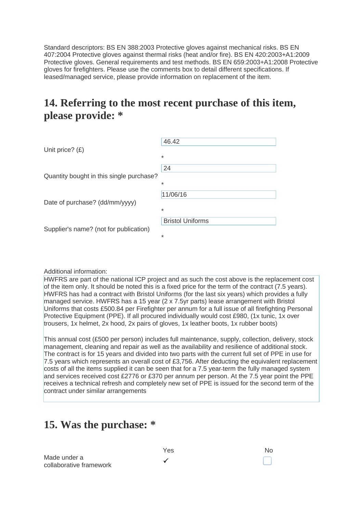Standard descriptors: BS EN 388:2003 Protective gloves against mechanical risks. BS EN 407:2004 Protective gloves against thermal risks (heat and/or fire). BS EN 420:2003+A1:2009 Protective gloves. General requirements and test methods. BS EN 659:2003+A1:2008 Protective gloves for firefighters. Please use the comments box to detail different specifications. If leased/managed service, please provide information on replacement of the item.

#### **14. Referring to the most recent purchase of this item, please provide: \***

|                                          | 46.42                             |
|------------------------------------------|-----------------------------------|
| Unit price? $(E)$                        | $\ast$                            |
|                                          | 24                                |
| Quantity bought in this single purchase? | $\ast$                            |
|                                          | 11/06/16                          |
| Date of purchase? (dd/mm/yyyy)           |                                   |
|                                          | $\ast$<br><b>Bristol Uniforms</b> |
| Supplier's name? (not for publication)   |                                   |
|                                          | $\ast$                            |

#### Additional information:

HWFRS are part of the national ICP project and as such the cost above is the replacement cost of the item only. It should be noted this is a fixed price for the term of the contract (7.5 years). HWFRS has had a contract with Bristol Uniforms (for the last six years) which provides a fully managed service. HWFRS has a 15 year (2 x 7.5yr parts) lease arrangement with Bristol Uniforms that costs £500.84 per Firefighter per annum for a full issue of all firefighting Personal Protective Equipment (PPE). If all procured individually would cost £980, (1x tunic, 1x over trousers, 1x helmet, 2x hood, 2x pairs of gloves, 1x leather boots, 1x rubber boots)

This annual cost (£500 per person) includes full maintenance, supply, collection, delivery, stock management, cleaning and repair as well as the availability and resilience of additional stock. The contract is for 15 years and divided into two parts with the current full set of PPE in use for 7.5 years which represents an overall cost of £3,756. After deducting the equivalent replacement costs of all the items supplied it can be seen that for a 7.5 year term the fully managed system and services received cost £2776 or £370 per annum per person. At the 7.5 year point the PPE receives a technical refresh and completely new set of PPE is issued for the second term of the contract under similar arrangements

#### **15. Was the purchase: \***

Yes No Made under a  $\mathsf{r}$  collaborative framework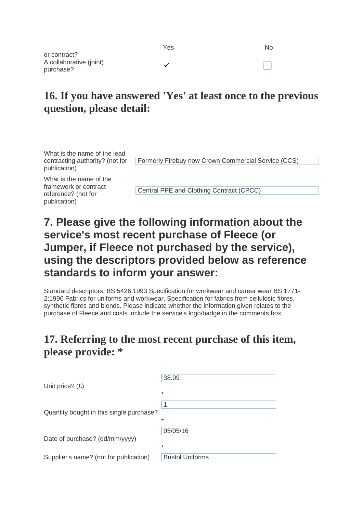| Yes | <b>No</b> |
|-----|-----------|
| ✓   | $\Box$    |

**16. If you have answered 'Yes' at least once to the previous** 

# **question, please detail:**

What is the name of the lead contracting authority? (not for publication)

Formerly Firebuy now Crown Commercial Service (CCS)

What is the name of the framework or contract reference? (not for publication)

or contract?

purchase?

A collaborative (joint)

Central PPE and Clothing Contract (CPCC)

# **7. Please give the following information about the service's most recent purchase of Fleece (or Jumper, if Fleece not purchased by the service), using the descriptors provided below as reference standards to inform your answer:**

Standard descriptors: BS 5426:1993 Specification for workwear and career wear BS 1771- 2:1990 Fabrics for uniforms and workwear. Specification for fabrics from cellulosic fibres, synthetic fibres and blends. Please indicate whether the information given relates to the purchase of Fleece and costs include the service's logo/badge in the comments box.

#### **17. Referring to the most recent purchase of this item, please provide: \***

|                                          | 38.09                   |
|------------------------------------------|-------------------------|
| Unit price? $(E)$                        | $\ast$                  |
|                                          |                         |
|                                          | 1                       |
| Quantity bought in this single purchase? | $\ast$                  |
|                                          | 05/05/16                |
| Date of purchase? (dd/mm/yyyy)           | $\ast$                  |
|                                          |                         |
| Supplier's name? (not for publication)   | <b>Bristol Uniforms</b> |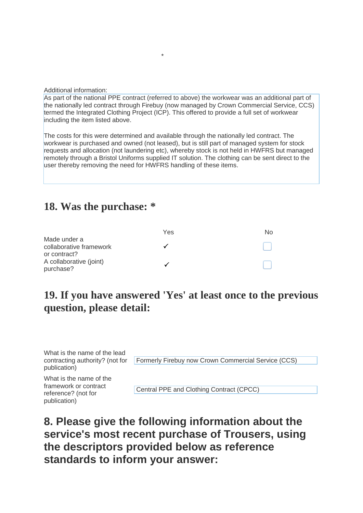Additional information:

As part of the national PPE contract (referred to above) the workwear was an additional part of the nationally led contract through Firebuy (now managed by Crown Commercial Service, CCS) termed the Integrated Clothing Project (ICP). This offered to provide a full set of workwear including the item listed above.

\*

The costs for this were determined and available through the nationally led contract. The workwear is purchased and owned (not leased), but is still part of managed system for stock requests and allocation (not laundering etc), whereby stock is not held in HWFRS but managed remotely through a Bristol Uniforms supplied IT solution. The clothing can be sent direct to the user thereby removing the need for HWFRS handling of these items.

#### **18. Was the purchase: \***

|                                      | Yes | NΩ |
|--------------------------------------|-----|----|
| Made under a                         |     |    |
| collaborative framework              |     |    |
| or contract?                         |     |    |
| A collaborative (joint)<br>purchase? |     |    |
|                                      |     |    |

#### **19. If you have answered 'Yes' at least once to the previous question, please detail:**

What is the name of the lead contracting authority? (not for publication) Formerly Firebuy now Crown Commercial Service (CCS)

What is the name of the framework or contract reference? (not for publication)

Central PPE and Clothing Contract (CPCC)

**8. Please give the following information about the service's most recent purchase of Trousers, using the descriptors provided below as reference standards to inform your answer:**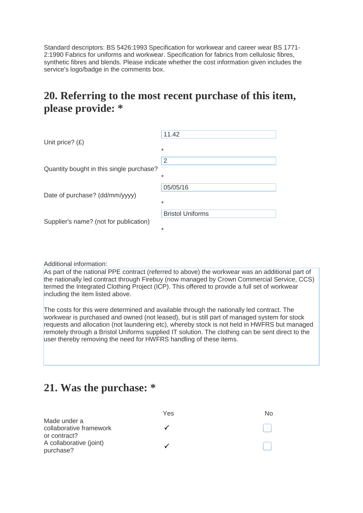Standard descriptors: BS 5426:1993 Specification for workwear and career wear BS 1771- 2:1990 Fabrics for uniforms and workwear. Specification for fabrics from cellulosic fibres, synthetic fibres and blends. Please indicate whether the cost information given includes the service's logo/badge in the comments box.

#### **20. Referring to the most recent purchase of this item, please provide: \***

| Unit price? $(E)$                        | 11.42                   |
|------------------------------------------|-------------------------|
|                                          | $\ast$                  |
| Quantity bought in this single purchase? | 2                       |
|                                          | $\ast$                  |
| Date of purchase? (dd/mm/yyyy)           | 05/05/16                |
|                                          | $\ast$                  |
| Supplier's name? (not for publication)   | <b>Bristol Uniforms</b> |
|                                          | $\ast$                  |

Additional information:

As part of the national PPE contract (referred to above) the workwear was an additional part of the nationally led contract through Firebuy (now managed by Crown Commercial Service, CCS) termed the Integrated Clothing Project (ICP). This offered to provide a full set of workwear including the item listed above.

The costs for this were determined and available through the nationally led contract. The workwear is purchased and owned (not leased), but is still part of managed system for stock requests and allocation (not laundering etc), whereby stock is not held in HWFRS but managed remotely through a Bristol Uniforms supplied IT solution. The clothing can be sent direct to the user thereby removing the need for HWFRS handling of these items.

#### **21. Was the purchase: \***

|                                                         | Yes | No. |
|---------------------------------------------------------|-----|-----|
| Made under a<br>collaborative framework<br>or contract? |     |     |
| A collaborative (joint)<br>purchase?                    |     |     |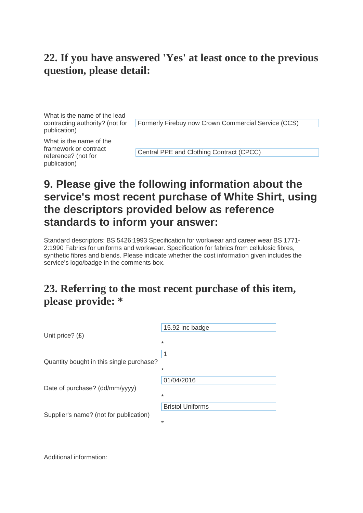What is the name of the lead contracting authority? (not for publication)

Formerly Firebuy now Crown Commercial Service (CCS)

What is the name of the framework or contract reference? (not for publication)

Central PPE and Clothing Contract (CPCC)

# **9. Please give the following information about the service's most recent purchase of White Shirt, using the descriptors provided below as reference standards to inform your answer:**

Standard descriptors: BS 5426:1993 Specification for workwear and career wear BS 1771- 2:1990 Fabrics for uniforms and workwear. Specification for fabrics from cellulosic fibres, synthetic fibres and blends. Please indicate whether the cost information given includes the service's logo/badge in the comments box.

### **23. Referring to the most recent purchase of this item, please provide: \***

| Unit price? $(E)$                        | 15.92 inc badge<br>$\ast$         |
|------------------------------------------|-----------------------------------|
| Quantity bought in this single purchase? | 1<br>$\ast$                       |
| Date of purchase? (dd/mm/yyyy)           | 01/04/2016<br>$\ast$              |
| Supplier's name? (not for publication)   | <b>Bristol Uniforms</b><br>$\ast$ |

Additional information: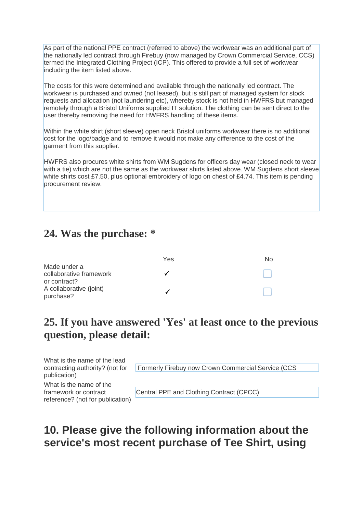As part of the national PPE contract (referred to above) the workwear was an additional part of the nationally led contract through Firebuy (now managed by Crown Commercial Service, CCS) termed the Integrated Clothing Project (ICP). This offered to provide a full set of workwear including the item listed above.

The costs for this were determined and available through the nationally led contract. The workwear is purchased and owned (not leased), but is still part of managed system for stock requests and allocation (not laundering etc), whereby stock is not held in HWFRS but managed remotely through a Bristol Uniforms supplied IT solution. The clothing can be sent direct to the user thereby removing the need for HWFRS handling of these items.

Within the white shirt (short sleeve) open neck Bristol uniforms workwear there is no additional cost for the logo/badge and to remove it would not make any difference to the cost of the garment from this supplier.

HWFRS also procures white shirts from WM Sugdens for officers day wear (closed neck to wear with a tie) which are not the same as the workwear shirts listed above. WM Sugdens short sleeve white shirts cost £7.50, plus optional embroidery of logo on chest of £4.74. This item is pending procurement review.

#### **24. Was the purchase: \***

|                         | Yes | NΩ |
|-------------------------|-----|----|
| Made under a            |     |    |
| collaborative framework |     |    |
| or contract?            |     |    |
| A collaborative (joint) |     |    |
| purchase?               |     |    |

### **25. If you have answered 'Yes' at least once to the previous question, please detail:**

What is the name of the lead contracting authority? (not for publication)

Formerly Firebuy now Crown Commercial Service (CCS

What is the name of the framework or contract reference? (not for publication)

Central PPE and Clothing Contract (CPCC)

#### **10. Please give the following information about the service's most recent purchase of Tee Shirt, using**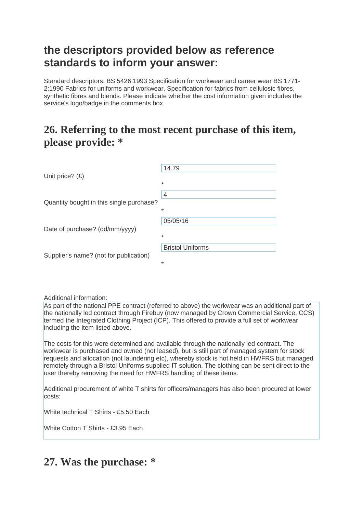#### **the descriptors provided below as reference standards to inform your answer:**

Standard descriptors: BS 5426:1993 Specification for workwear and career wear BS 1771- 2:1990 Fabrics for uniforms and workwear. Specification for fabrics from cellulosic fibres, synthetic fibres and blends. Please indicate whether the cost information given includes the service's logo/badge in the comments box.

#### **26. Referring to the most recent purchase of this item, please provide: \***

|                                          | 14.79                   |
|------------------------------------------|-------------------------|
| Unit price? $(E)$                        | $\ast$                  |
|                                          | $\overline{4}$          |
| Quantity bought in this single purchase? | $\ast$                  |
| Date of purchase? (dd/mm/yyyy)           | 05/05/16                |
|                                          | $\ast$                  |
| Supplier's name? (not for publication)   | <b>Bristol Uniforms</b> |
|                                          | $\ast$                  |

Additional information:

As part of the national PPE contract (referred to above) the workwear was an additional part of the nationally led contract through Firebuy (now managed by Crown Commercial Service, CCS) termed the Integrated Clothing Project (ICP). This offered to provide a full set of workwear including the item listed above.

The costs for this were determined and available through the nationally led contract. The workwear is purchased and owned (not leased), but is still part of managed system for stock requests and allocation (not laundering etc), whereby stock is not held in HWFRS but managed remotely through a Bristol Uniforms supplied IT solution. The clothing can be sent direct to the user thereby removing the need for HWFRS handling of these items.

Additional procurement of white T shirts for officers/managers has also been procured at lower costs:

White technical T Shirts - £5.50 Each

White Cotton T Shirts - £3.95 Fach

### **27. Was the purchase: \***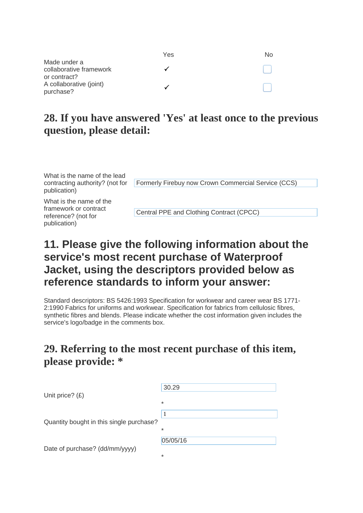|                                         | Yes | No |
|-----------------------------------------|-----|----|
| Made under a                            |     |    |
| collaborative framework<br>or contract? |     |    |
| A collaborative (joint)<br>purchase?    |     |    |

What is the name of the lead contracting authority? (not for publication)

Formerly Firebuy now Crown Commercial Service (CCS)

What is the name of the framework or contract reference? (not for publication)

Central PPE and Clothing Contract (CPCC)

### **11. Please give the following information about the service's most recent purchase of Waterproof Jacket, using the descriptors provided below as reference standards to inform your answer:**

Standard descriptors: BS 5426:1993 Specification for workwear and career wear BS 1771- 2:1990 Fabrics for uniforms and workwear. Specification for fabrics from cellulosic fibres, synthetic fibres and blends. Please indicate whether the cost information given includes the service's logo/badge in the comments box.

#### **29. Referring to the most recent purchase of this item, please provide: \***

| Unit price? $(E)$                        | 30.29    |
|------------------------------------------|----------|
|                                          | $\ast$   |
| Quantity bought in this single purchase? | 1        |
|                                          | $\ast$   |
| Date of purchase? (dd/mm/yyyy)           | 05/05/16 |
|                                          | $\ast$   |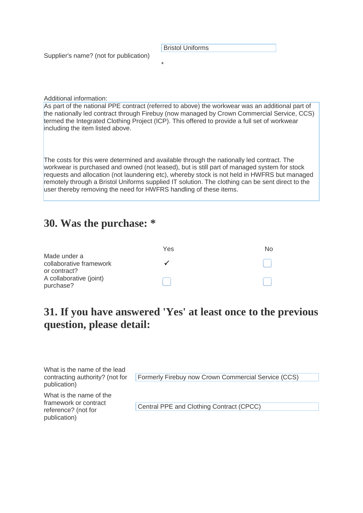Bristol Uniforms

Supplier's name? (not for publication)

Additional information:

As part of the national PPE contract (referred to above) the workwear was an additional part of the nationally led contract through Firebuy (now managed by Crown Commercial Service, CCS) termed the Integrated Clothing Project (ICP). This offered to provide a full set of workwear including the item listed above.

\*

The costs for this were determined and available through the nationally led contract. The workwear is purchased and owned (not leased), but is still part of managed system for stock requests and allocation (not laundering etc), whereby stock is not held in HWFRS but managed remotely through a Bristol Uniforms supplied IT solution. The clothing can be sent direct to the user thereby removing the need for HWFRS handling of these items.

#### **30. Was the purchase: \***

|                         | Yes | NΩ |
|-------------------------|-----|----|
| Made under a            |     |    |
| collaborative framework |     |    |
| or contract?            |     |    |
| A collaborative (joint) |     |    |
| purchase?               |     |    |

#### **31. If you have answered 'Yes' at least once to the previous question, please detail:**

| What is the name of the lead                 |                                                     |
|----------------------------------------------|-----------------------------------------------------|
| contracting authority? (not for              | Formerly Firebuy now Crown Commercial Service (CCS) |
| publication)                                 |                                                     |
| What is the name of the                      |                                                     |
| framework or contract<br>reference? (not for | Central PPE and Clothing Contract (CPCC)            |
| publication)                                 |                                                     |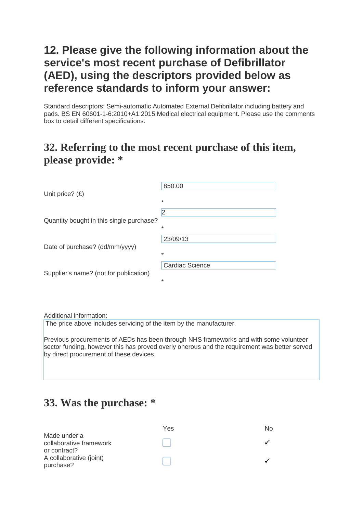## **12. Please give the following information about the service's most recent purchase of Defibrillator (AED), using the descriptors provided below as reference standards to inform your answer:**

Standard descriptors: Semi-automatic Automated External Defibrillator including battery and pads. BS EN 60601-1-6:2010+A1:2015 Medical electrical equipment. Please use the comments box to detail different specifications.

#### **32. Referring to the most recent purchase of this item, please provide: \***

| Unit price? $(E)$                        | 850.00                 |
|------------------------------------------|------------------------|
|                                          | $\ast$                 |
|                                          | 2                      |
| Quantity bought in this single purchase? |                        |
|                                          | $\ast$                 |
|                                          | 23/09/13               |
| Date of purchase? (dd/mm/yyyy)           | $\ast$                 |
| Supplier's name? (not for publication)   | <b>Cardiac Science</b> |
|                                          | $\ast$                 |

Additional information:

The price above includes servicing of the item by the manufacturer.

Previous procurements of AEDs has been through NHS frameworks and with some volunteer sector funding, however this has proved overly onerous and the requirement was better served by direct procurement of these devices.

### **33. Was the purchase: \***

|                                                         | Yes | No. |
|---------------------------------------------------------|-----|-----|
| Made under a<br>collaborative framework<br>or contract? |     |     |
| A collaborative (joint)<br>purchase?                    |     |     |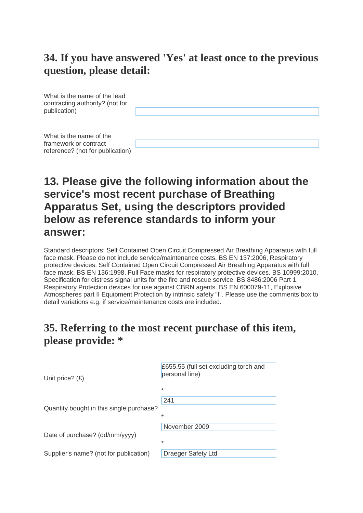What is the name of the lead contracting authority? (not for publication)

What is the name of the framework or contract reference? (not for publication)

#### **13. Please give the following information about the service's most recent purchase of Breathing Apparatus Set, using the descriptors provided below as reference standards to inform your answer:**

Standard descriptors: Self Contained Open Circuit Compressed Air Breathing Apparatus with full face mask. Please do not include service/maintenance costs. BS EN 137:2006, Respiratory protective devices: Self Contained Open Circuit Compressed Air Breathing Apparatus with full face mask. BS EN 136:1998, Full Face masks for respiratory protective devices. BS 10999:2010, Specification for distress signal units for the fire and rescue service. BS 8486:2006 Part 1, Respiratory Protection devices for use against CBRN agents. BS EN 600079-11, Explosive Atmospheres part II Equipment Protection by intrinsic safety "I". Please use the comments box to detail variations e.g. if service/maintenance costs are included.

#### **35. Referring to the most recent purchase of this item, please provide: \***

| Unit price? $(E)$                        | £655.55 (full set excluding torch and<br>personal line)<br>$\ast$ |
|------------------------------------------|-------------------------------------------------------------------|
| Quantity bought in this single purchase? | 241<br>$\ast$                                                     |
| Date of purchase? (dd/mm/yyyy)           | November 2009<br>$\ast$                                           |
| Supplier's name? (not for publication)   | Draeger Safety Ltd                                                |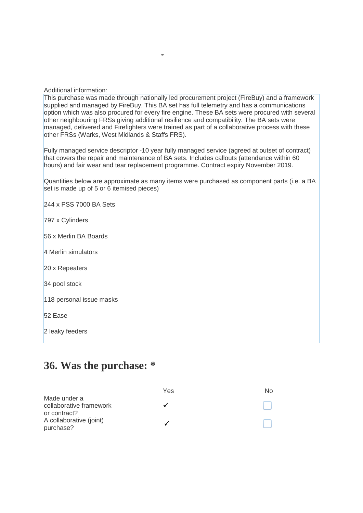Additional information:

This purchase was made through nationally led procurement project (FireBuy) and a framework supplied and managed by FireBuy. This BA set has full telemetry and has a communications option which was also procured for every fire engine. These BA sets were procured with several other neighbouring FRSs giving additional resilience and compatibility. The BA sets were managed, delivered and Firefighters were trained as part of a collaborative process with these other FRSs (Warks, West Midlands & Staffs FRS).

\*

Fully managed service descriptor -10 year fully managed service (agreed at outset of contract) that covers the repair and maintenance of BA sets. Includes callouts (attendance within 60 hours) and fair wear and tear replacement programme. Contract expiry November 2019.

Quantities below are approximate as many items were purchased as component parts (i.e. a BA set is made up of 5 or 6 itemised pieces)

244 x PSS 7000 BA Sets

797 x Cylinders

56 x Merlin BA Boards

4 Merlin simulators

20 x Repeaters

34 pool stock

118 personal issue masks

52 Ease

2 leaky feeders

#### **36. Was the purchase: \***

|                                                         | Yes | N٥ |
|---------------------------------------------------------|-----|----|
| Made under a<br>collaborative framework<br>or contract? |     |    |
| A collaborative (joint)<br>purchase?                    |     |    |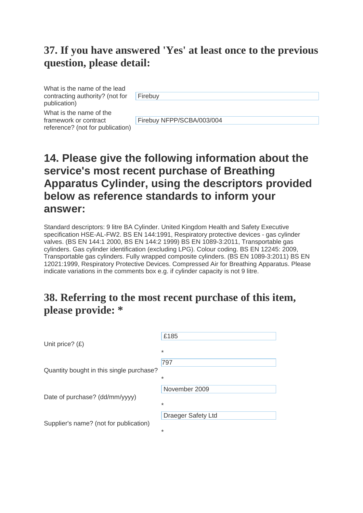What is the name of the lead contracting authority? (not for publication)

**Firebuy** 

What is the name of the framework or contract reference? (not for publication)

Firebuy NFPP/SCBA/003/004

# **14. Please give the following information about the service's most recent purchase of Breathing Apparatus Cylinder, using the descriptors provided below as reference standards to inform your answer:**

Standard descriptors: 9 litre BA Cylinder. United Kingdom Health and Safety Executive specification HSE-AL-FW2. BS EN 144:1991, Respiratory protective devices - gas cylinder valves. (BS EN 144:1 2000, BS EN 144:2 1999) BS EN 1089-3:2011, Transportable gas cylinders. Gas cylinder identification (excluding LPG). Colour coding. BS EN 12245: 2009, Transportable gas cylinders. Fully wrapped composite cylinders. (BS EN 1089-3:2011) BS EN 12021:1999, Respiratory Protective Devices. Compressed Air for Breathing Apparatus. Please indicate variations in the comments box e.g. if cylinder capacity is not 9 litre.

#### **38. Referring to the most recent purchase of this item, please provide: \***

|                                          | £185               |
|------------------------------------------|--------------------|
| Unit price? $(E)$                        | $\ast$             |
|                                          | 797                |
| Quantity bought in this single purchase? | $\ast$             |
|                                          | November 2009      |
| Date of purchase? (dd/mm/yyyy)           | $\ast$             |
|                                          | Draeger Safety Ltd |
| Supplier's name? (not for publication)   | $\ast$             |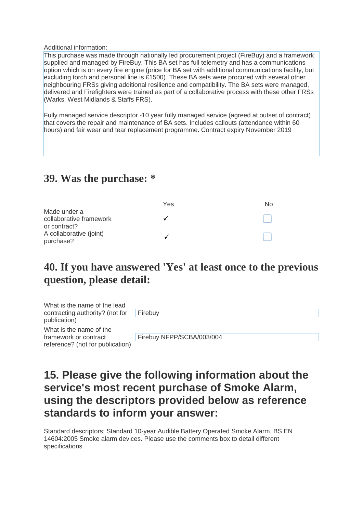Additional information:

This purchase was made through nationally led procurement project (FireBuy) and a framework supplied and managed by FireBuy. This BA set has full telemetry and has a communications option which is on every fire engine (price for BA set with additional communications facility, but excluding torch and personal line is £1500). These BA sets were procured with several other neighbouring FRSs giving additional resilience and compatibility. The BA sets were managed, delivered and Firefighters were trained as part of a collaborative process with these other FRSs (Warks, West Midlands & Staffs FRS).

Fully managed service descriptor -10 year fully managed service (agreed at outset of contract) that covers the repair and maintenance of BA sets. Includes callouts (attendance within 60 hours) and fair wear and tear replacement programme. Contract expiry November 2019

#### **39. Was the purchase: \***

|                                                         | Yes | No. |
|---------------------------------------------------------|-----|-----|
| Made under a<br>collaborative framework<br>or contract? |     |     |
| A collaborative (joint)<br>purchase?                    |     |     |

### **40. If you have answered 'Yes' at least once to the previous question, please detail:**

| What is the name of the lead<br>contracting authority? (not for<br>publication)      | Firebuy                   |
|--------------------------------------------------------------------------------------|---------------------------|
| What is the name of the<br>framework or contract<br>reference? (not for publication) | Firebuy NFPP/SCBA/003/004 |

### **15. Please give the following information about the service's most recent purchase of Smoke Alarm, using the descriptors provided below as reference standards to inform your answer:**

Standard descriptors: Standard 10-year Audible Battery Operated Smoke Alarm. BS EN 14604:2005 Smoke alarm devices. Please use the comments box to detail different specifications.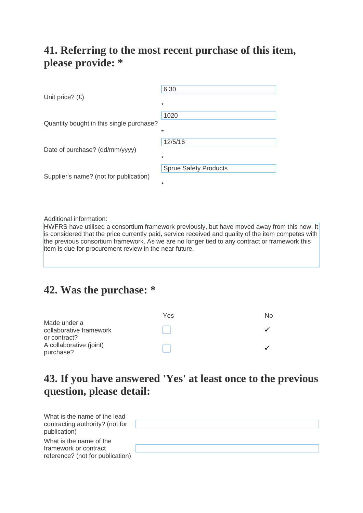#### **41. Referring to the most recent purchase of this item, please provide: \***

| Unit price? $(E)$                        | 6.30<br>$\ast$                           |
|------------------------------------------|------------------------------------------|
| Quantity bought in this single purchase? | 1020<br>$\ast$                           |
| Date of purchase? (dd/mm/yyyy)           | 12/5/16<br>$\ast$                        |
| Supplier's name? (not for publication)   | <b>Sprue Safety Products</b><br>$^\star$ |

Additional information:

HWFRS have utilised a consortium framework previously, but have moved away from this now. It is considered that the price currently paid, service received and quality of the item competes with the previous consortium framework. As we are no longer tied to any contract or framework this item is due for procurement review in the near future.

#### **42. Was the purchase: \***

|                                         | Yes | NΩ |
|-----------------------------------------|-----|----|
| Made under a<br>collaborative framework |     |    |
| or contract?                            |     |    |
| A collaborative (joint)<br>purchase?    |     |    |

### **43. If you have answered 'Yes' at least once to the previous question, please detail:**

| What is the name of the lead<br>contracting authority? (not for |  |
|-----------------------------------------------------------------|--|
| publication)                                                    |  |
| What is the name of the                                         |  |
| framework or contract                                           |  |
| reference? (not for publication)                                |  |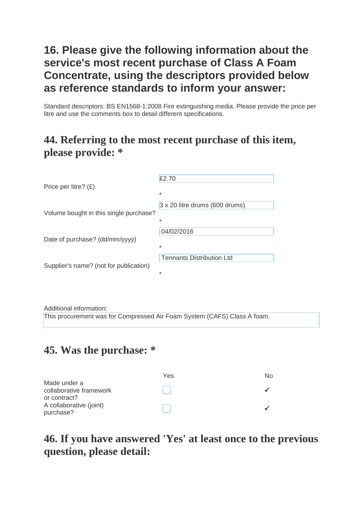### **16. Please give the following information about the service's most recent purchase of Class A Foam Concentrate, using the descriptors provided below as reference standards to inform your answer:**

Standard descriptors: BS EN1568-1:2008 Fire extinguishing media. Please provide the price per litre and use the comments box to detail different specifications.

#### **44. Referring to the most recent purchase of this item, please provide: \***

|                                        | £2.70                            |
|----------------------------------------|----------------------------------|
| Price per litre? $(E)$                 | $\ast$                           |
| Volume bought in this single purchase? | 3 x 20 litre drums (600 drums)   |
|                                        | $\ast$                           |
|                                        | 04/02/2016                       |
| Date of purchase? (dd/mm/yyyy)         | $\ast$                           |
|                                        | <b>Tennants Distribution Ltd</b> |
| Supplier's name? (not for publication) | $\ast$                           |

Additional information:

This procurement was for Compressed Air Foam System (CAFS) Class A foam.

#### **45. Was the purchase: \***

|                                                      | Yes | N٥ |
|------------------------------------------------------|-----|----|
| Made under a<br>collaborative framework              |     |    |
| or contract?<br>A collaborative (joint)<br>purchase? |     |    |

### **46. If you have answered 'Yes' at least once to the previous question, please detail:**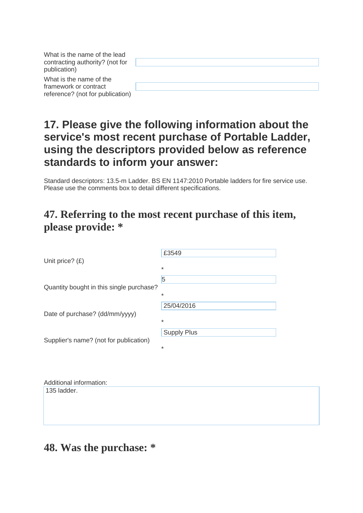| What is the name of the lead<br>contracting authority? (not for |  |
|-----------------------------------------------------------------|--|
| publication)                                                    |  |
| What is the name of the                                         |  |
| framework or contract                                           |  |
| reference? (not for publication)                                |  |

# **17. Please give the following information about the service's most recent purchase of Portable Ladder, using the descriptors provided below as reference standards to inform your answer:**

Standard descriptors: 13.5-m Ladder. BS EN 1147:2010 Portable ladders for fire service use. Please use the comments box to detail different specifications.

#### **47. Referring to the most recent purchase of this item, please provide: \***

|                                          | £3549              |
|------------------------------------------|--------------------|
| Unit price? $(E)$                        | $\ast$             |
|                                          | 5                  |
| Quantity bought in this single purchase? | $\ast$             |
|                                          | 25/04/2016         |
| Date of purchase? (dd/mm/yyyy)           | $\ast$             |
|                                          | <b>Supply Plus</b> |
| Supplier's name? (not for publication)   | $\ast$             |
|                                          |                    |

| Additional information: |
|-------------------------|
| $135$ ladder.           |
|                         |
|                         |
|                         |
|                         |
|                         |

# **48. Was the purchase: \***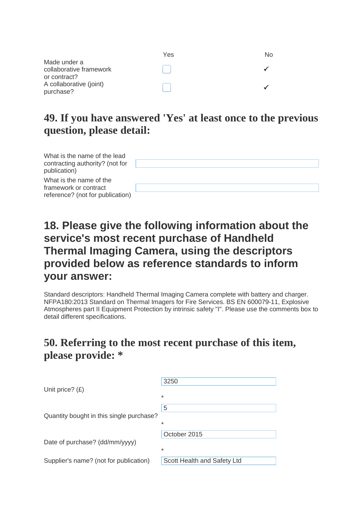|                                                      | Yes | N٥ |
|------------------------------------------------------|-----|----|
| Made under a<br>collaborative framework              |     |    |
| or contract?<br>A collaborative (joint)<br>purchase? |     |    |

| What is the name of the lead<br>contracting authority? (not for<br>publication)      |  |
|--------------------------------------------------------------------------------------|--|
| What is the name of the<br>framework or contract<br>reference? (not for publication) |  |

### **18. Please give the following information about the service's most recent purchase of Handheld Thermal Imaging Camera, using the descriptors provided below as reference standards to inform your answer:**

Standard descriptors: Handheld Thermal Imaging Camera complete with battery and charger. NFPA180:2013 Standard on Thermal Imagers for Fire Services. BS EN 600079-11, Explosive Atmospheres part II Equipment Protection by intrinsic safety "I". Please use the comments box to detail different specifications.

#### **50. Referring to the most recent purchase of this item, please provide: \***

|                                          | 3250                        |
|------------------------------------------|-----------------------------|
| Unit price? $(E)$                        | $\ast$                      |
| Quantity bought in this single purchase? |                             |
|                                          | 5                           |
|                                          | *                           |
|                                          | October 2015                |
| Date of purchase? (dd/mm/yyyy)           | $\ast$                      |
|                                          |                             |
| Supplier's name? (not for publication)   | Scott Health and Safety Ltd |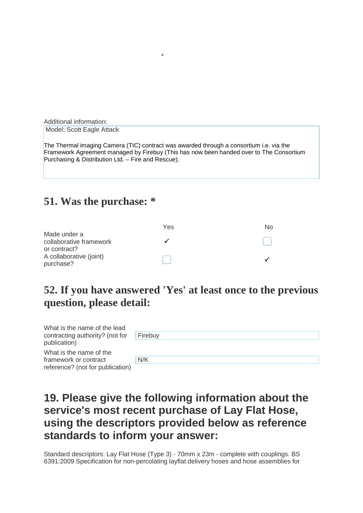Additional information: Model: Scott Eagle Attack

The Thermal imaging Camera (TIC) contract was awarded through a consortium i.e. via the Framework Agreement managed by Firebuy (This has now been handed over to The Consortium Purchasing & Distribution Ltd. – Fire and Rescue).

\*

#### **51. Was the purchase: \***

|                         | Yes | Nο |
|-------------------------|-----|----|
| Made under a            |     |    |
| collaborative framework |     |    |
| or contract?            |     |    |
| A collaborative (joint) |     |    |
| purchase?               |     |    |

#### **52. If you have answered 'Yes' at least once to the previous question, please detail:**

| What is the name of the lead<br>contracting authority? (not for | Firebuy |
|-----------------------------------------------------------------|---------|
| publication)                                                    |         |
| What is the name of the                                         |         |
| framework or contract                                           | N/K     |
| reference? (not for publication)                                |         |

# **19. Please give the following information about the service's most recent purchase of Lay Flat Hose, using the descriptors provided below as reference standards to inform your answer:**

Standard descriptors: Lay Flat Hose (Type 3) - 70mm x 23m - complete with couplings. BS 6391:2009 Specification for non-percolating layflat delivery hoses and hose assemblies for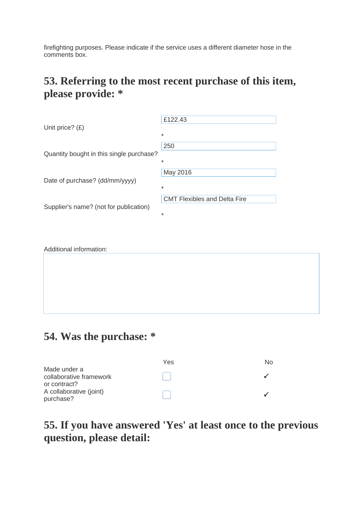firefighting purposes. Please indicate if the service uses a different diameter hose in the comments box.

#### **53. Referring to the most recent purchase of this item, please provide: \***

|                                          | £122.43                             |
|------------------------------------------|-------------------------------------|
| Unit price? $(E)$                        | $\ast$                              |
| Quantity bought in this single purchase? | 250                                 |
|                                          | $\ast$                              |
| Date of purchase? (dd/mm/yyyy)           | May 2016                            |
|                                          | $\ast$                              |
| Supplier's name? (not for publication)   | <b>CMT Flexibles and Delta Fire</b> |
|                                          | $\ast$                              |

|  | Additional information: |
|--|-------------------------|
|--|-------------------------|

#### **54. Was the purchase: \***

|                                                         | Yes | N٥ |
|---------------------------------------------------------|-----|----|
| Made under a<br>collaborative framework<br>or contract? |     |    |
| A collaborative (joint)<br>purchase?                    |     |    |

#### **55. If you have answered 'Yes' at least once to the previous question, please detail:**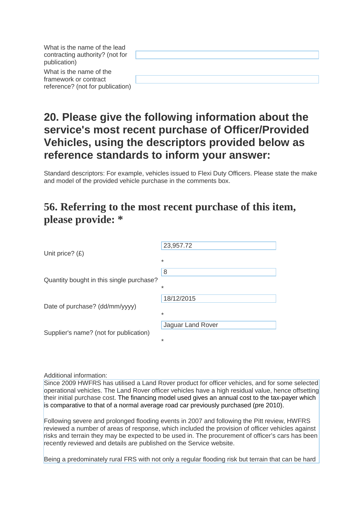| What is the name of the lead<br>contracting authority? (not for<br>publication)      |  |
|--------------------------------------------------------------------------------------|--|
| What is the name of the<br>framework or contract<br>reference? (not for publication) |  |

# **20. Please give the following information about the service's most recent purchase of Officer/Provided Vehicles, using the descriptors provided below as reference standards to inform your answer:**

Standard descriptors: For example, vehicles issued to Flexi Duty Officers. Please state the make and model of the provided vehicle purchase in the comments box.

#### **56. Referring to the most recent purchase of this item, please provide: \***

| Unit price? $(E)$                        | 23,957.72         |
|------------------------------------------|-------------------|
|                                          | $\ast$            |
| Quantity bought in this single purchase? | 8                 |
|                                          | $\ast$            |
| Date of purchase? (dd/mm/yyyy)           | 18/12/2015        |
|                                          | $\ast$            |
| Supplier's name? (not for publication)   | Jaguar Land Rover |
|                                          | $\ast$            |

Additional information:

Since 2009 HWFRS has utilised a Land Rover product for officer vehicles, and for some selected operational vehicles. The Land Rover officer vehicles have a high residual value, hence offsetting their initial purchase cost. The financing model used gives an annual cost to the tax-payer which is comparative to that of a normal average road car previously purchased (pre 2010).

Following severe and prolonged flooding events in 2007 and following the Pitt review, HWFRS reviewed a number of areas of response, which included the provision of officer vehicles against risks and terrain they may be expected to be used in. The procurement of officer's cars has been recently reviewed and details are published on the Service website.

Being a predominately rural FRS with not only a regular flooding risk but terrain that can be hard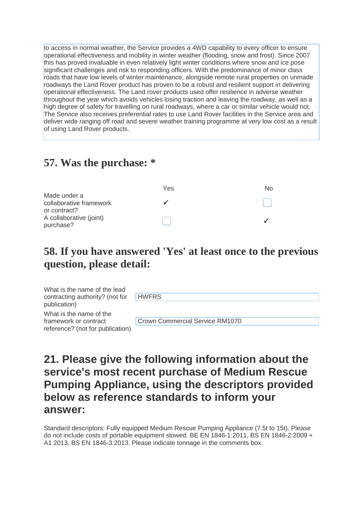to access in normal weather, the Service provides a 4WD capability to every officer to ensure operational effectiveness and mobility in winter weather (flooding, snow and frost). Since 2007 this has proved invaluable in even relatively light winter conditions where snow and ice pose significant challenges and risk to responding officers. With the predominance of minor class roads that have low levels of winter maintenance, alongside remote rural properties on unmade roadways the Land Rover product has proven to be a robust and resilient support in delivering operational effectiveness. The Land rover products used offer resilience in adverse weather throughout the year which avoids vehicles losing traction and leaving the roadway, as well as a high degree of safety for travelling on rural roadways, where a car or similar vehicle would not. The Service also receives preferential rates to use Land Rover facilities in the Service area and deliver wide ranging off road and severe weather training programme at very low cost as a result of using Land Rover products.

#### **57. Was the purchase: \***

|                                                         | Yes | No. |
|---------------------------------------------------------|-----|-----|
| Made under a<br>collaborative framework<br>or contract? |     |     |
| A collaborative (joint)<br>purchase?                    |     |     |

#### **58. If you have answered 'Yes' at least once to the previous question, please detail:**

| What is the name of the lead<br>contracting authority? (not for | <b>HWFRS</b>                    |
|-----------------------------------------------------------------|---------------------------------|
| publication)                                                    |                                 |
| What is the name of the                                         |                                 |
| framework or contract                                           | Crown Commercial Service RM1070 |
| reference? (not for publication)                                |                                 |

#### **21. Please give the following information about the service's most recent purchase of Medium Rescue Pumping Appliance, using the descriptors provided below as reference standards to inform your answer:**

Standard descriptors: Fully equipped Medium Rescue Pumping Appliance (7.5t to 15t). Please do not include costs of portable equipment stowed. BE EN 1846-1:2011, BS EN 1846-2:2009 + A1 2013, BS EN 1846-3:2013. Please indicate tonnage in the comments box.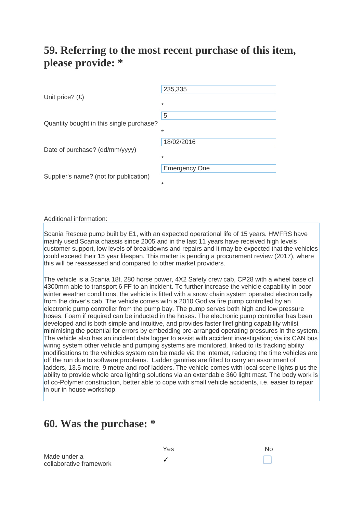#### **59. Referring to the most recent purchase of this item, please provide: \***

| Unit price? $(E)$                        | 235,335<br>$\ast$              |
|------------------------------------------|--------------------------------|
| Quantity bought in this single purchase? | 5<br>$\ast$                    |
| Date of purchase? (dd/mm/yyyy)           | 18/02/2016<br>$\ast$           |
| Supplier's name? (not for publication)   | <b>Emergency One</b><br>$\ast$ |

#### Additional information:

Scania Rescue pump built by E1, with an expected operational life of 15 years. HWFRS have mainly used Scania chassis since 2005 and in the last 11 years have received high levels customer support, low levels of breakdowns and repairs and it may be expected that the vehicles could exceed their 15 year lifespan. This matter is pending a procurement review (2017), where this will be reassessed and compared to other market providers.

The vehicle is a Scania 18t, 280 horse power, 4X2 Safety crew cab, CP28 with a wheel base of 4300mm able to transport 6 FF to an incident. To further increase the vehicle capability in poor winter weather conditions, the vehicle is fitted with a snow chain system operated electronically from the driver's cab. The vehicle comes with a 2010 Godiva fire pump controlled by an electronic pump controller from the pump bay. The pump serves both high and low pressure hoses. Foam if required can be inducted in the hoses. The electronic pump controller has been developed and is both simple and intuitive, and provides faster firefighting capability whilst minimising the potential for errors by embedding pre-arranged operating pressures in the system. The vehicle also has an incident data logger to assist with accident investigation; via its CAN bus wiring system other vehicle and pumping systems are monitored, linked to its tracking ability modifications to the vehicles system can be made via the internet, reducing the time vehicles are off the run due to software problems. Ladder gantries are fitted to carry an assortment of ladders, 13.5 metre, 9 metre and roof ladders. The vehicle comes with local scene lights plus the ability to provide whole area lighting solutions via an extendable 360 light mast. The body work is of co-Polymer construction, better able to cope with small vehicle accidents, i.e. easier to repair in our in house workshop.

#### **60. Was the purchase: \***

Made under a made under a and a and a sollaborative framework and a sollaborative of the solution of the solution of the solution of the solution of  $\checkmark$ 

Yes No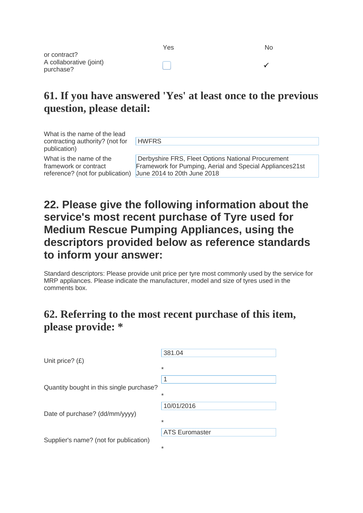|                         | Yes | No |
|-------------------------|-----|----|
| or contract?            |     |    |
| A collaborative (joint) |     |    |
| purchase?               |     |    |

What is the name of the lead contracting authority? (not for publication)

**HWFRS** 

What is the name of the framework or contract

reference? (not for publication) June 2014 to 20th June 2018 Derbyshire FRS, Fleet Options National Procurement Framework for Pumping, Aerial and Special Appliances21st

# **22. Please give the following information about the service's most recent purchase of Tyre used for Medium Rescue Pumping Appliances, using the descriptors provided below as reference standards to inform your answer:**

Standard descriptors: Please provide unit price per tyre most commonly used by the service for MRP appliances. Please indicate the manufacturer, model and size of tyres used in the comments box.

#### **62. Referring to the most recent purchase of this item, please provide: \***

| Unit price? $(E)$                        | 381.04<br>$\ast$                |
|------------------------------------------|---------------------------------|
| Quantity bought in this single purchase? | 1<br>$\ast$                     |
| Date of purchase? (dd/mm/yyyy)           | 10/01/2016<br>$\ast$            |
| Supplier's name? (not for publication)   | <b>ATS Euromaster</b><br>$\ast$ |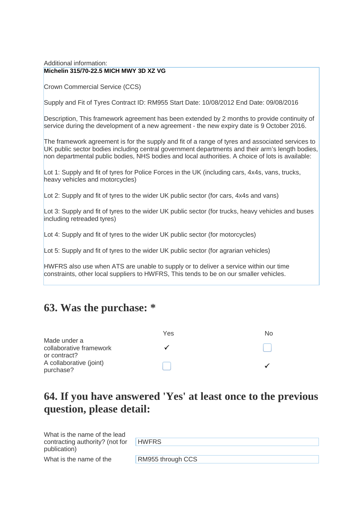#### Additional information: **Michelin 315/70-22.5 MICH MWY 3D XZ VG**

Crown Commercial Service (CCS)

Supply and Fit of Tyres Contract ID: RM955 Start Date: 10/08/2012 End Date: 09/08/2016

Description, This framework agreement has been extended by 2 months to provide continuity of service during the development of a new agreement - the new expiry date is 9 October 2016.

The framework agreement is for the supply and fit of a range of tyres and associated services to UK public sector bodies including central government departments and their arm's length bodies, non departmental public bodies, NHS bodies and local authorities. A choice of lots is available:

Lot 1: Supply and fit of tyres for Police Forces in the UK (including cars, 4x4s, vans, trucks, heavy vehicles and motorcycles)

Lot 2: Supply and fit of tyres to the wider UK public sector (for cars, 4x4s and vans)

Lot 3: Supply and fit of tyres to the wider UK public sector (for trucks, heavy vehicles and buses including retreaded tyres)

Lot 4: Supply and fit of tyres to the wider UK public sector (for motorcycles)

Lot 5: Supply and fit of tyres to the wider UK public sector (for agrarian vehicles)

HWFRS also use when ATS are unable to supply or to deliver a service within our time constraints, other local suppliers to HWFRS, This tends to be on our smaller vehicles.

#### **63. Was the purchase: \***

|                                         | Yes | No |
|-----------------------------------------|-----|----|
| Made under a<br>collaborative framework |     |    |
| or contract?                            |     |    |
| A collaborative (joint)<br>purchase?    |     |    |

#### **64. If you have answered 'Yes' at least once to the previous question, please detail:**

| What is the name of the lead<br>contracting authority? (not for | HWFRS <sup>1</sup> |
|-----------------------------------------------------------------|--------------------|
| publication)                                                    |                    |
| What is the name of the                                         | RM955 through CCS  |
|                                                                 |                    |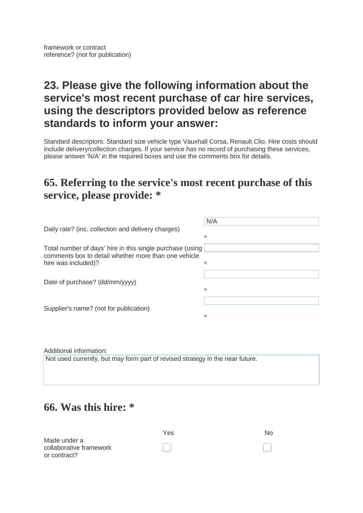# **23. Please give the following information about the service's most recent purchase of car hire services, using the descriptors provided below as reference standards to inform your answer:**

Standard descriptors: Standard size vehicle type Vauxhall Corsa, Renault Clio. Hire costs should include delivery/collection charges. If your service has no record of purchasing these services, please answer 'N/A' in the required boxes and use the comments box for details.

#### **65. Referring to the service's most recent purchase of this service, please provide: \***

|                                                           | N/A     |
|-----------------------------------------------------------|---------|
| Daily rate? (inc. collection and delivery charges)        |         |
|                                                           | $\star$ |
| Total number of days' hire in this single purchase (using |         |
| comments box to detail whether more than one vehicle      |         |
| hire was included)?                                       | $\ast$  |
|                                                           |         |
| Date of purchase? (dd/mm/yyyy)                            |         |
|                                                           | $\ast$  |
|                                                           |         |
| Supplier's name? (not for publication)                    |         |

\*

Additional information:

Not used currently, but may form part of revised strategy in the near future.

#### **66. Was this hire: \***

|                         | Yes | No. |
|-------------------------|-----|-----|
| Made under a            |     |     |
| collaborative framework |     |     |
| or contract?            |     |     |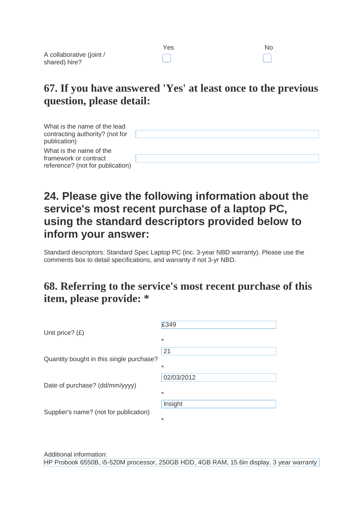|                                           | Yes | No |
|-------------------------------------------|-----|----|
| A collaborative (joint /<br>shared) hire? |     |    |
|                                           |     |    |

| What is the name of the lead<br>contracting authority? (not for<br>publication)      |  |
|--------------------------------------------------------------------------------------|--|
| What is the name of the<br>framework or contract<br>reference? (not for publication) |  |

### **24. Please give the following information about the service's most recent purchase of a laptop PC, using the standard descriptors provided below to inform your answer:**

Standard descriptors: Standard Spec Laptop PC (inc. 3-year NBD warranty). Please use the comments box to detail specifications, and warranty if not 3-yr NBD.

#### **68. Referring to the service's most recent purchase of this item, please provide: \***

|                                          | £349       |
|------------------------------------------|------------|
| Unit price? $(E)$                        | $\ast$     |
|                                          | 21         |
| Quantity bought in this single purchase? | $\ast$     |
|                                          | 02/03/2012 |
| Date of purchase? (dd/mm/yyyy)           | $\ast$     |
|                                          | Insight    |
| Supplier's name? (not for publication)   | *          |
|                                          |            |

Additional information: HP Probook 6550B, i5-520M processor, 250GB HDD, 4GB RAM, 15.6in display. 3 year warranty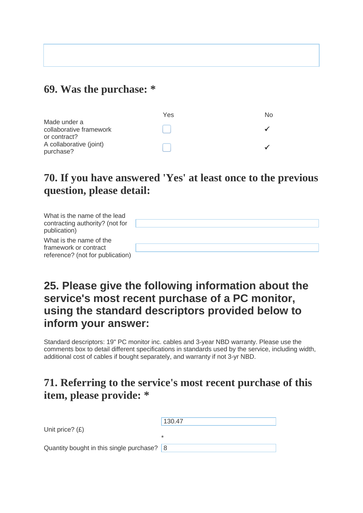#### **69. Was the purchase: \***

|                                                         | Yes | No. |
|---------------------------------------------------------|-----|-----|
| Made under a<br>collaborative framework<br>or contract? |     |     |
| A collaborative (joint)<br>purchase?                    |     |     |

#### **70. If you have answered 'Yes' at least once to the previous question, please detail:**

| What is the name of the lead<br>contracting authority? (not for<br>publication)      |  |
|--------------------------------------------------------------------------------------|--|
| What is the name of the<br>framework or contract<br>reference? (not for publication) |  |

#### **25. Please give the following information about the service's most recent purchase of a PC monitor, using the standard descriptors provided below to inform your answer:**

Standard descriptors: 19" PC monitor inc. cables and 3-year NBD warranty. Please use the comments box to detail different specifications in standards used by the service, including width, additional cost of cables if bought separately, and warranty if not 3-yr NBD.

#### **71. Referring to the service's most recent purchase of this item, please provide: \***

|                                                | 130.47 |
|------------------------------------------------|--------|
| Unit price? $(E)$                              |        |
|                                                | $\ast$ |
| Quantity bought in this single purchase? $ 8 $ |        |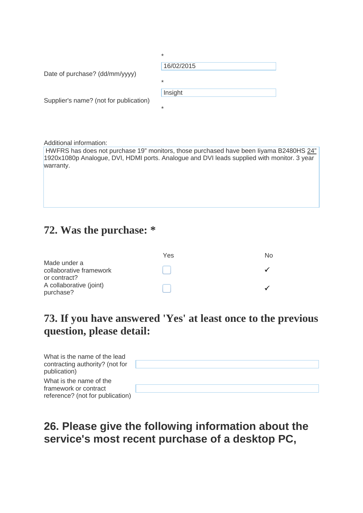|                                        | $\ast$     |
|----------------------------------------|------------|
|                                        | 16/02/2015 |
| Date of purchase? (dd/mm/yyyy)         |            |
|                                        | $\ast$     |
|                                        | Insight    |
| Supplier's name? (not for publication) |            |
|                                        | $\ast$     |

Additional information:

HWFRS has does not purchase 19" monitors, those purchased have been Iiyama B2480HS 24" 1920x1080p Analogue, DVI, HDMI ports. Analogue and DVI leads supplied with monitor. 3 year warranty.

#### **72. Was the purchase: \***

|                                                      | Yes | No. |
|------------------------------------------------------|-----|-----|
| Made under a<br>collaborative framework              |     |     |
| or contract?<br>A collaborative (joint)<br>purchase? |     |     |

#### **73. If you have answered 'Yes' at least once to the previous question, please detail:**

| What is the name of the lead<br>contracting authority? (not for<br>publication)      |  |
|--------------------------------------------------------------------------------------|--|
| What is the name of the<br>framework or contract<br>reference? (not for publication) |  |

# **26. Please give the following information about the service's most recent purchase of a desktop PC,**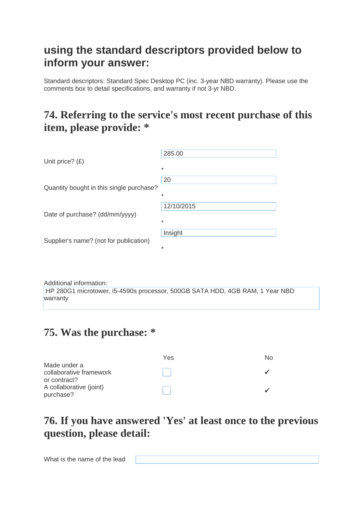#### **using the standard descriptors provided below to inform your answer:**

Standard descriptors: Standard Spec Desktop PC (inc. 3-year NBD warranty). Please use the comments box to detail specifications, and warranty if not 3-yr NBD.

#### **74. Referring to the service's most recent purchase of this item, please provide: \***

| Unit price? $(E)$                        | 285.00               |
|------------------------------------------|----------------------|
|                                          | $\ast$               |
| Quantity bought in this single purchase? | 20<br>$\ast$         |
| Date of purchase? (dd/mm/yyyy)           | 12/10/2015<br>$\ast$ |
| Supplier's name? (not for publication)   | Insight<br>*         |

Additional information: HP 280G1 microtower, i5-4590s processor, 500GB SATA HDD, 4GB RAM, 1 Year NBD warranty

### **75. Was the purchase: \***

|                                                      | Yes | No |
|------------------------------------------------------|-----|----|
| Made under a<br>collaborative framework              |     |    |
| or contract?<br>A collaborative (joint)<br>purchase? |     |    |

# **76. If you have answered 'Yes' at least once to the previous question, please detail:**

What is the name of the lead